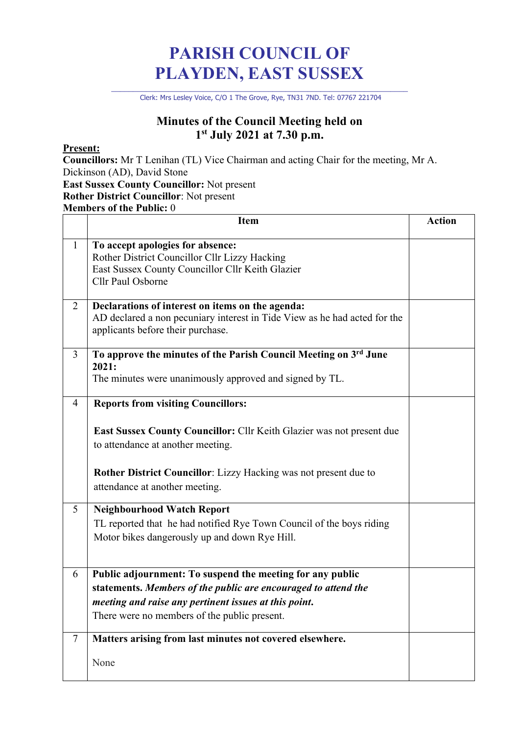# **PARISH COUNCIL OF PLAYDEN, EAST SUSSEX**

\_\_\_\_\_\_\_\_\_\_\_\_\_\_\_\_\_\_\_\_\_\_\_\_\_\_\_\_\_\_\_\_\_\_\_\_\_\_\_\_\_\_\_\_\_\_\_\_\_\_\_\_\_\_\_\_\_\_\_\_\_\_\_\_\_\_\_\_ Clerk: Mrs Lesley Voice, C/O 1 The Grove, Rye, TN31 7ND. Tel: 07767 221704

### **Minutes of the Council Meeting held on 1st July 2021 at 7.30 p.m.**

#### **Present:**

**Councillors:** Mr T Lenihan (TL) Vice Chairman and acting Chair for the meeting, Mr A. Dickinson (AD), David Stone

**East Sussex County Councillor:** Not present

## **Rother District Councillor**: Not present

**Members of the Public:** 0

|                | <b>Item</b>                                                                                                                                                                                                                                                                 | <b>Action</b> |
|----------------|-----------------------------------------------------------------------------------------------------------------------------------------------------------------------------------------------------------------------------------------------------------------------------|---------------|
| $\mathbf{1}$   | To accept apologies for absence:<br>Rother District Councillor Cllr Lizzy Hacking<br>East Sussex County Councillor Cllr Keith Glazier<br>Cllr Paul Osborne                                                                                                                  |               |
| $\overline{2}$ | Declarations of interest on items on the agenda:<br>AD declared a non pecuniary interest in Tide View as he had acted for the<br>applicants before their purchase.                                                                                                          |               |
| $\overline{3}$ | To approve the minutes of the Parish Council Meeting on 3rd June<br>2021:<br>The minutes were unanimously approved and signed by TL.                                                                                                                                        |               |
| $\overline{4}$ | <b>Reports from visiting Councillors:</b><br><b>East Sussex County Councillor:</b> Cllr Keith Glazier was not present due<br>to attendance at another meeting.<br><b>Rother District Councillor:</b> Lizzy Hacking was not present due to<br>attendance at another meeting. |               |
| 5              | <b>Neighbourhood Watch Report</b><br>TL reported that he had notified Rye Town Council of the boys riding<br>Motor bikes dangerously up and down Rye Hill.                                                                                                                  |               |
| 6              | Public adjournment: To suspend the meeting for any public<br>statements. Members of the public are encouraged to attend the<br>meeting and raise any pertinent issues at this point.<br>There were no members of the public present.                                        |               |
| $\overline{7}$ | Matters arising from last minutes not covered elsewhere.<br>None                                                                                                                                                                                                            |               |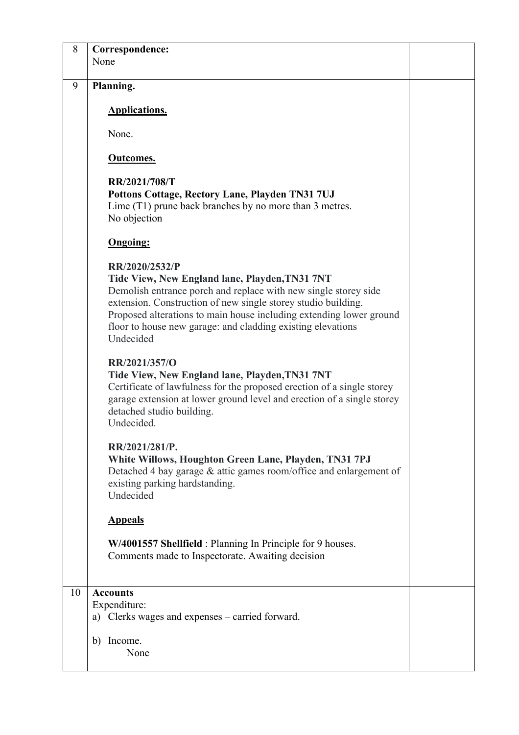| 8  | Correspondence:                                                                                                                                                                                                                                                |  |
|----|----------------------------------------------------------------------------------------------------------------------------------------------------------------------------------------------------------------------------------------------------------------|--|
|    | None                                                                                                                                                                                                                                                           |  |
| 9  | Planning.                                                                                                                                                                                                                                                      |  |
|    | <b>Applications.</b>                                                                                                                                                                                                                                           |  |
|    | None.                                                                                                                                                                                                                                                          |  |
|    | <b>Outcomes.</b>                                                                                                                                                                                                                                               |  |
|    | RR/2021/708/T                                                                                                                                                                                                                                                  |  |
|    | Pottons Cottage, Rectory Lane, Playden TN31 7UJ                                                                                                                                                                                                                |  |
|    | Lime (T1) prune back branches by no more than 3 metres.<br>No objection                                                                                                                                                                                        |  |
|    | <b>Ongoing:</b>                                                                                                                                                                                                                                                |  |
|    | RR/2020/2532/P                                                                                                                                                                                                                                                 |  |
|    | Tide View, New England lane, Playden, TN31 7NT                                                                                                                                                                                                                 |  |
|    | Demolish entrance porch and replace with new single storey side                                                                                                                                                                                                |  |
|    | extension. Construction of new single storey studio building.                                                                                                                                                                                                  |  |
|    | Proposed alterations to main house including extending lower ground                                                                                                                                                                                            |  |
|    | floor to house new garage: and cladding existing elevations                                                                                                                                                                                                    |  |
|    | Undecided                                                                                                                                                                                                                                                      |  |
|    | RR/2021/357/O<br>Tide View, New England lane, Playden, TN31 7NT<br>Certificate of lawfulness for the proposed erection of a single storey<br>garage extension at lower ground level and erection of a single storey<br>detached studio building.<br>Undecided. |  |
|    | RR/2021/281/P.                                                                                                                                                                                                                                                 |  |
|    | White Willows, Houghton Green Lane, Playden, TN31 7PJ                                                                                                                                                                                                          |  |
|    | Detached 4 bay garage & attic games room/office and enlargement of                                                                                                                                                                                             |  |
|    | existing parking hardstanding.                                                                                                                                                                                                                                 |  |
|    | Undecided                                                                                                                                                                                                                                                      |  |
|    | <b>Appeals</b>                                                                                                                                                                                                                                                 |  |
|    |                                                                                                                                                                                                                                                                |  |
|    | W/4001557 Shellfield : Planning In Principle for 9 houses.<br>Comments made to Inspectorate. Awaiting decision                                                                                                                                                 |  |
|    |                                                                                                                                                                                                                                                                |  |
|    |                                                                                                                                                                                                                                                                |  |
| 10 | <b>Accounts</b>                                                                                                                                                                                                                                                |  |
|    | Expenditure:                                                                                                                                                                                                                                                   |  |
|    | a) Clerks wages and expenses – carried forward.                                                                                                                                                                                                                |  |
|    | b) Income.                                                                                                                                                                                                                                                     |  |
|    | None                                                                                                                                                                                                                                                           |  |
|    |                                                                                                                                                                                                                                                                |  |